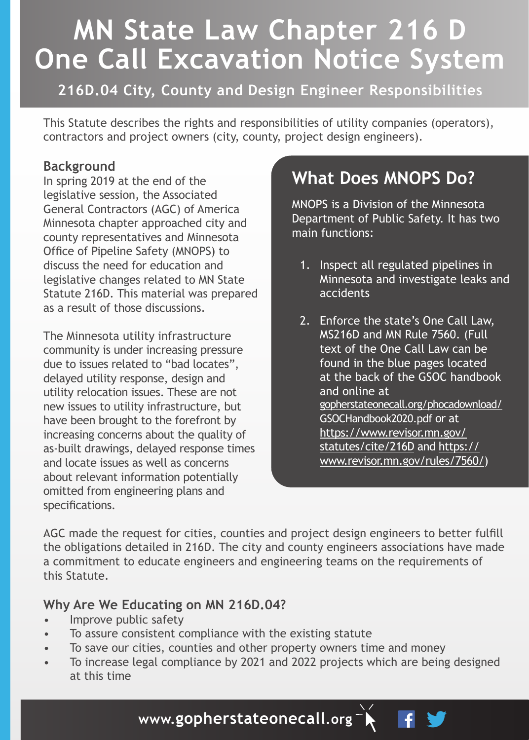# **MN State Law Chapter 216 D One Call Excavation Notice System**

**216D.04 City, County and Design Engineer Responsibilities**

This Statute describes the rights and responsibilities of utility companies (operators), contractors and project owners (city, county, project design engineers).

## **Background**

In spring 2019 at the end of the legislative session, the Associated General Contractors (AGC) of America Minnesota chapter approached city and county representatives and Minnesota Office of Pipeline Safety (MNOPS) to discuss the need for education and legislative changes related to MN State Statute 216D. This material was prepared as a result of those discussions.

The Minnesota utility infrastructure community is under increasing pressure due to issues related to "bad locates", delayed utility response, design and utility relocation issues. These are not new issues to utility infrastructure, but have been brought to the forefront by increasing concerns about the quality of as-built drawings, delayed response times and locate issues as well as concerns about relevant information potentially omitted from engineering plans and specifications.

# **What Does MNOPS Do?**

MNOPS is a Division of the Minnesota Department of Public Safety. It has two main functions:

- 1. Inspect all regulated pipelines in Minnesota and investigate leaks and accidents
- 2. Enforce the state's One Call Law, MS216D and MN Rule 7560. (Full text of the One Call Law can be found in the blue pages located at the back of the GSOC handbook and online at gopherstateonecall.org/phocadownload/ GSOCHandbook2020.pdf or at https://www.revisor.mn.gov/ statutes/cite/216D and https:// www.revisor.mn.gov/rules/7560/)

AGC made the request for cities, counties and project design engineers to better fulfill the obligations detailed in 216D. The city and county engineers associations have made a commitment to educate engineers and engineering teams on the requirements of this Statute.

# **Why Are We Educating on MN 216D.04?**

- Improve public safety
- To assure consistent compliance with the existing statute
- To save our cities, counties and other property owners time and money
- To increase legal compliance by 2021 and 2022 projects which are being designed at this time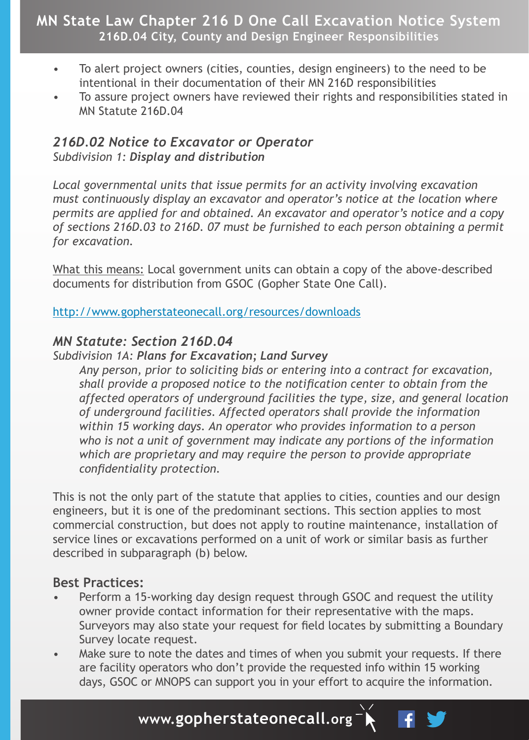# **MN State Law Chapter 216 D One Call Excavation Notice System 216D.04 City, County and Design Engineer Responsibilities**

- To alert project owners (cities, counties, design engineers) to the need to be intentional in their documentation of their MN 216D responsibilities
- To assure project owners have reviewed their rights and responsibilities stated in MN Statute 216D.04

#### *216D.02 Notice to Excavator or Operator Subdivision 1: Display and distribution*

*Local governmental units that issue permits for an activity involving excavation must continuously display an excavator and operator's notice at the location where permits are applied for and obtained. An excavator and operator's notice and a copy of sections 216D.03 to 216D. 07 must be furnished to each person obtaining a permit for excavation.*

What this means: Local government units can obtain a copy of the above-described documents for distribution from GSOC (Gopher State One Call).

http://www.gopherstateonecall.org/resources/downloads

# *MN Statute: Section 216D.04*

#### *Subdivision 1A: Plans for Excavation; Land Survey*

*Any person, prior to soliciting bids or entering into a contract for excavation, shall provide a proposed notice to the notification center to obtain from the affected operators of underground facilities the type, size, and general location of underground facilities. Affected operators shall provide the information within 15 working days. An operator who provides information to a person who is not a unit of government may indicate any portions of the information which are proprietary and may require the person to provide appropriate confidentiality protection.* 

This is not the only part of the statute that applies to cities, counties and our design engineers, but it is one of the predominant sections. This section applies to most commercial construction, but does not apply to routine maintenance, installation of service lines or excavations performed on a unit of work or similar basis as further described in subparagraph (b) below.

## **Best Practices:**

- Perform a 15-working day design request through GSOC and request the utility owner provide contact information for their representative with the maps. Surveyors may also state your request for field locates by submitting a Boundary Survey locate request.
- Make sure to note the dates and times of when you submit your requests. If there are facility operators who don't provide the requested info within 15 working days, GSOC or MNOPS can support you in your effort to acquire the information.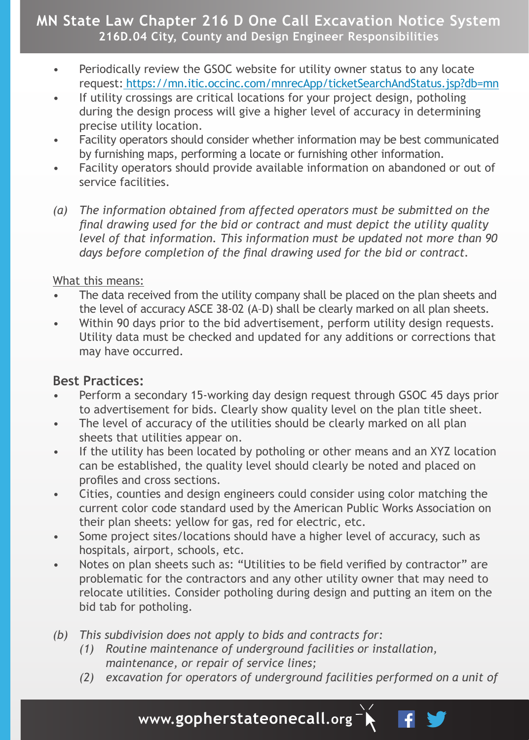# **MN State Law Chapter 216 D One Call Excavation Notice System 216D.04 City, County and Design Engineer Responsibilities**

- Periodically review the GSOC website for utility owner status to any locate request: https://mn.itic.occinc.com/mnrecApp/ticketSearchAndStatus.jsp?db=mn
- If utility crossings are critical locations for your project design, potholing during the design process will give a higher level of accuracy in determining precise utility location.
- Facility operators should consider whether information may be best communicated by furnishing maps, performing a locate or furnishing other information.
- Facility operators should provide available information on abandoned or out of service facilities.
- *(a) The information obtained from affected operators must be submitted on the final drawing used for the bid or contract and must depict the utility quality level of that information. This information must be updated not more than 90 days before completion of the final drawing used for the bid or contract.*

#### What this means:

- The data received from the utility company shall be placed on the plan sheets and the level of accuracy ASCE 38-02 (A–D) shall be clearly marked on all plan sheets.
- Within 90 days prior to the bid advertisement, perform utility design requests. Utility data must be checked and updated for any additions or corrections that may have occurred.

## **Best Practices:**

- Perform a secondary 15-working day design request through GSOC 45 days prior to advertisement for bids. Clearly show quality level on the plan title sheet.
- The level of accuracy of the utilities should be clearly marked on all plan sheets that utilities appear on.
- If the utility has been located by potholing or other means and an XYZ location can be established, the quality level should clearly be noted and placed on profiles and cross sections.
- Cities, counties and design engineers could consider using color matching the current color code standard used by the American Public Works Association on their plan sheets: yellow for gas, red for electric, etc.
- Some project sites/locations should have a higher level of accuracy, such as hospitals, airport, schools, etc.
- Notes on plan sheets such as: "Utilities to be field verified by contractor" are problematic for the contractors and any other utility owner that may need to relocate utilities. Consider potholing during design and putting an item on the bid tab for potholing.
- *(b) This subdivision does not apply to bids and contracts for:*
	- *(1) Routine maintenance of underground facilities or installation, maintenance, or repair of service lines;*
	- *(2) excavation for operators of underground facilities performed on a unit of*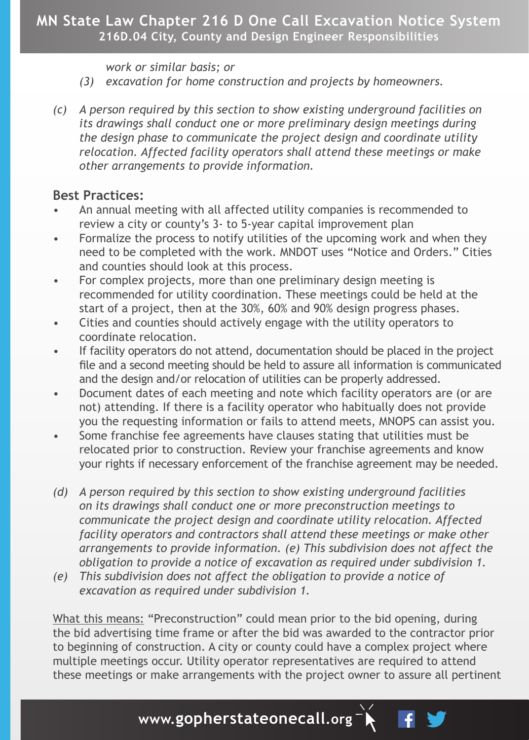# **MN State Law Chapter 216 D One Call Excavation Notice System 216D.04 City, County and Design Engineer Responsibilities**

*work or similar basis; or*

- *(3) excavation for home construction and projects by homeowners.*
- *(c) A person required by this section to show existing underground facilities on its drawings shall conduct one or more preliminary design meetings during the design phase to communicate the project design and coordinate utility relocation. Affected facility operators shall attend these meetings or make other arrangements to provide information.*

## **Best Practices:**

- An annual meeting with all affected utility companies is recommended to review a city or county's 3- to 5-year capital improvement plan
- Formalize the process to notify utilities of the upcoming work and when they need to be completed with the work. MNDOT uses "Notice and Orders." Cities and counties should look at this process.
- For complex projects, more than one preliminary design meeting is recommended for utility coordination. These meetings could be held at the start of a project, then at the 30%, 60% and 90% design progress phases.
- Cities and counties should actively engage with the utility operators to coordinate relocation.
- If facility operators do not attend, documentation should be placed in the project file and a second meeting should be held to assure all information is communicated and the design and/or relocation of utilities can be properly addressed.
- Document dates of each meeting and note which facility operators are (or are not) attending. If there is a facility operator who habitually does not provide you the requesting information or fails to attend meets, MNOPS can assist you.
- Some franchise fee agreements have clauses stating that utilities must be relocated prior to construction. Review your franchise agreements and know your rights if necessary enforcement of the franchise agreement may be needed.
- *(d) A person required by this section to show existing underground facilities on its drawings shall conduct one or more preconstruction meetings to communicate the project design and coordinate utility relocation. Affected facility operators and contractors shall attend these meetings or make other arrangements to provide information. (e) This subdivision does not affect the obligation to provide a notice of excavation as required under subdivision 1.*
- *(e) This subdivision does not affect the obligation to provide a notice of excavation as required under subdivision 1.*

What this means: "Preconstruction" could mean prior to the bid opening, during the bid advertising time frame or after the bid was awarded to the contractor prior to beginning of construction. A city or county could have a complex project where multiple meetings occur. Utility operator representatives are required to attend these meetings or make arrangements with the project owner to assure all pertinent

 $\mathbf{f}$